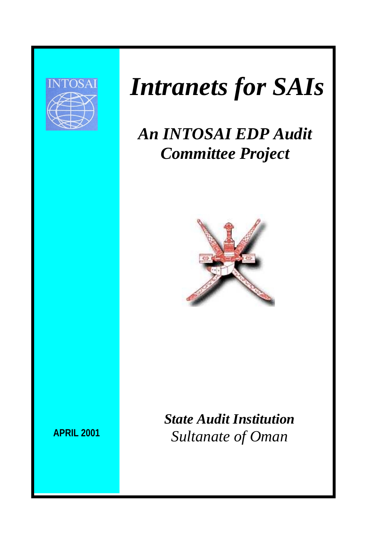

# *Intranets for SAIs*

## *An INTOSAI EDP Audit Committee Project*



*State Audit Institution Sultanate of Oman*

**APRIL 2001**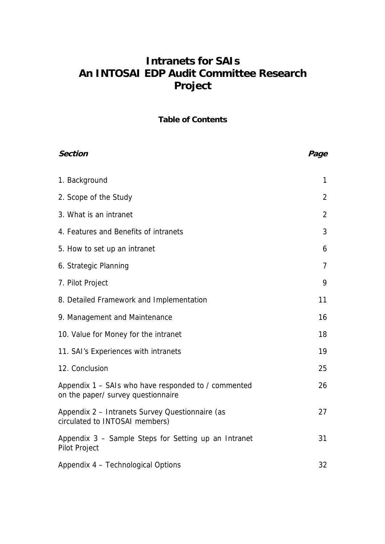## **Intranets for SAIs An INTOSAI EDP Audit Committee Research Project**

**Table of Contents** 

| <b>Section</b>                                                                            | Page |
|-------------------------------------------------------------------------------------------|------|
| 1. Background                                                                             | 1    |
| 2. Scope of the Study                                                                     | 2    |
| 3. What is an intranet                                                                    | 2    |
| 4. Features and Benefits of intranets                                                     | 3    |
| 5. How to set up an intranet                                                              | 6    |
| 6. Strategic Planning                                                                     | 7    |
| 7. Pilot Project                                                                          | 9    |
| 8. Detailed Framework and Implementation                                                  | 11   |
| 9. Management and Maintenance                                                             | 16   |
| 10. Value for Money for the intranet                                                      | 18   |
| 11. SAI's Experiences with intranets                                                      | 19   |
| 12. Conclusion                                                                            | 25   |
| Appendix 1 – SAIs who have responded to / commented<br>on the paper/ survey questionnaire | 26   |
| Appendix 2 - Intranets Survey Questionnaire (as<br>circulated to INTOSAI members)         | 27   |
| Appendix 3 - Sample Steps for Setting up an Intranet<br>Pilot Project                     | 31   |
| Appendix 4 - Technological Options                                                        | 32   |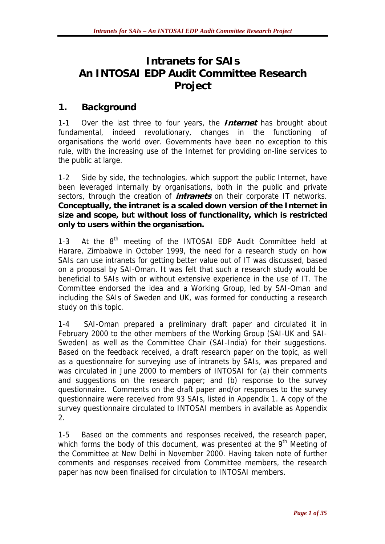## **Intranets for SAIs An INTOSAI EDP Audit Committee Research Project**

#### **1. Background**

1-1 Over the last three to four years, the **Internet** has brought about fundamental, indeed revolutionary, changes in the functioning of organisations the world over. Governments have been no exception to this rule, with the increasing use of the Internet for providing on-line services to the public at large.

1-2 Side by side, the technologies, which support the public Internet, have been leveraged internally by organisations, both in the public and private sectors, through the creation of **intranets** on their corporate IT networks. **Conceptually, the intranet is a scaled down version of the Internet in size and scope, but without loss of functionality, which is restricted only to users within the organisation.**

1-3 At the 8<sup>th</sup> meeting of the INTOSAI EDP Audit Committee held at Harare, Zimbabwe in October 1999, the need for a research study on how SAIs can use intranets for getting better value out of IT was discussed, based on a proposal by SAI-Oman. It was felt that such a research study would be beneficial to SAIs with or without extensive experience in the use of IT. The Committee endorsed the idea and a Working Group, led by SAI-Oman and including the SAIs of Sweden and UK, was formed for conducting a research study on this topic.

1-4 SAI-Oman prepared a preliminary draft paper and circulated it in February 2000 to the other members of the Working Group (SAI-UK and SAI-Sweden) as well as the Committee Chair (SAI-India) for their suggestions. Based on the feedback received, a draft research paper on the topic, as well as a questionnaire for surveying use of intranets by SAIs, was prepared and was circulated in June 2000 to members of INTOSAI for (a) their comments and suggestions on the research paper; and (b) response to the survey questionnaire. Comments on the draft paper and/or responses to the survey questionnaire were received from 93 SAIs, listed in Appendix 1. A copy of the survey questionnaire circulated to INTOSAI members in available as Appendix 2.

1-5 Based on the comments and responses received, the research paper, which forms the body of this document, was presented at the 9<sup>th</sup> Meeting of the Committee at New Delhi in November 2000. Having taken note of further comments and responses received from Committee members, the research paper has now been finalised for circulation to INTOSAI members.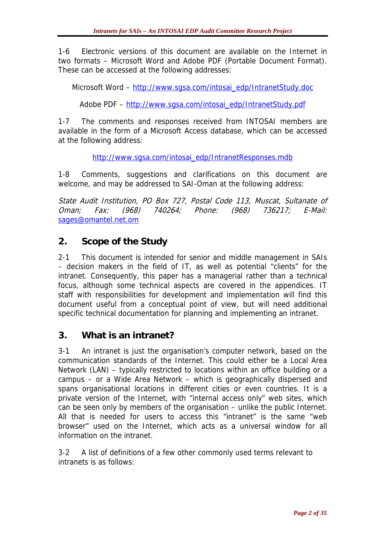1-6 Electronic versions of this document are available on the Internet in two formats – Microsoft Word and Adobe PDF (Portable Document Format). These can be accessed at the following addresses:

Microsoft Word – [http://www.sgsa.com/intosai\\_edp/IntranetStudy.doc](http://www.sgsa.com/IntranetStudyDraft.doc)

Adobe PDF – [http://www.sgsa.com/intosai\\_edp/IntranetStudy.pdf](http://www.sgsa.com/IntranetStudyDraft.pdf)

1-7 The comments and responses received from INTOSAI members are available in the form of a Microsoft Access database, which can be accessed at the following address:

[http://www.sgsa.com/intosai\\_edp/IntranetResponses.mdb](http://www.sgsa.com/intosai_edp/IntranetResponses.mdb)

1-8 Comments, suggestions and clarifications on this document are welcome, and may be addressed to SAI-Oman at the following address:

State Audit Institution, PO Box 727, Postal Code 113, Muscat, Sultanate of Oman; Fax: (968) 740264; Phone: (968) 736217; E-Mail: [sages@omantel.net.om](mailto:sages@omantel.net.om)

#### **2. Scope of the Study**

2-1 This document is intended for senior and middle management in SAIs – decision makers in the field of IT, as well as potential "clients" for the intranet. Consequently, this paper has a managerial rather than a technical focus, although some technical aspects are covered in the appendices. IT staff with responsibilities for development and implementation will find this document useful from a conceptual point of view, but will need additional specific technical documentation for planning and implementing an intranet.

#### **3. What is an intranet?**

3-1 An intranet is just the organisation's computer network, based on the communication standards of the Internet. This could either be a Local Area Network (LAN) – typically restricted to locations within an office building or a campus – or a Wide Area Network – which is geographically dispersed and spans organisational locations in different cities or even countries. It is a private version of the Internet, with "internal access only" web sites, which can be seen only by members of the organisation – unlike the public Internet. All that is needed for users to access this "intranet" is the same "web browser" used on the Internet, which acts as a universal window for all information on the intranet.

3-2 A list of definitions of a few other commonly used terms relevant to intranets is as follows: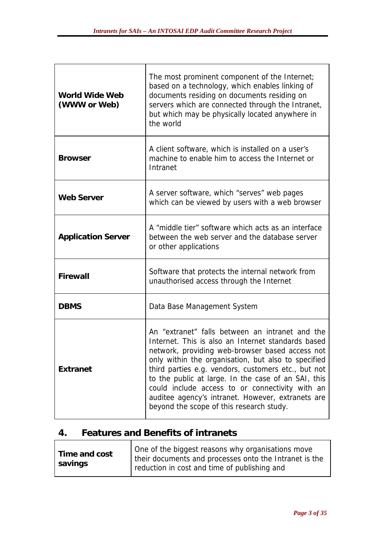| <b>World Wide Web</b><br>(WWW or Web) | The most prominent component of the Internet;<br>based on a technology, which enables linking of<br>documents residing on documents residing on<br>servers which are connected through the Intranet,<br>but which may be physically located anywhere in<br>the world                                                                                                                                                                                                              |
|---------------------------------------|-----------------------------------------------------------------------------------------------------------------------------------------------------------------------------------------------------------------------------------------------------------------------------------------------------------------------------------------------------------------------------------------------------------------------------------------------------------------------------------|
| <b>Browser</b>                        | A client software, which is installed on a user's<br>machine to enable him to access the Internet or<br>Intranet                                                                                                                                                                                                                                                                                                                                                                  |
| <b>Web Server</b>                     | A server software, which "serves" web pages<br>which can be viewed by users with a web browser                                                                                                                                                                                                                                                                                                                                                                                    |
| <b>Application Server</b>             | A "middle tier" software which acts as an interface<br>between the web server and the database server<br>or other applications                                                                                                                                                                                                                                                                                                                                                    |
| Firewall                              | Software that protects the internal network from<br>unauthorised access through the Internet                                                                                                                                                                                                                                                                                                                                                                                      |
| <b>DBMS</b>                           | Data Base Management System                                                                                                                                                                                                                                                                                                                                                                                                                                                       |
| <b>Extranet</b>                       | An "extranet" falls between an intranet and the<br>Internet. This is also an Internet standards based<br>network, providing web-browser based access not<br>only within the organisation, but also to specified<br>third parties e.g. vendors, customers etc., but not<br>to the public at large. In the case of an SAI, this<br>could include access to or connectivity with an<br>auditee agency's intranet. However, extranets are<br>beyond the scope of this research study. |

## **4. Features and Benefits of intranets**

 $\overline{\mathsf{T}}$ 

| Time and cost | One of the biggest reasons why organisations move      |
|---------------|--------------------------------------------------------|
| savings       | their documents and processes onto the Intranet is the |
|               | reduction in cost and time of publishing and           |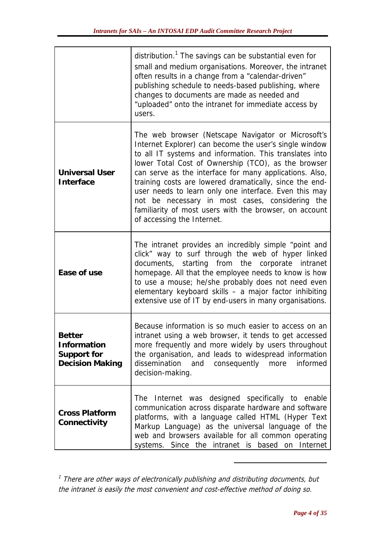|                                                                       | distribution. <sup>1</sup> The savings can be substantial even for<br>small and medium organisations. Moreover, the intranet<br>often results in a change from a "calendar-driven"<br>publishing schedule to needs-based publishing, where<br>changes to documents are made as needed and<br>"uploaded" onto the intranet for immediate access by<br>users.                                                                                                                                                                                              |
|-----------------------------------------------------------------------|----------------------------------------------------------------------------------------------------------------------------------------------------------------------------------------------------------------------------------------------------------------------------------------------------------------------------------------------------------------------------------------------------------------------------------------------------------------------------------------------------------------------------------------------------------|
| <b>Universal User</b><br>Interface                                    | The web browser (Netscape Navigator or Microsoft's<br>Internet Explorer) can become the user's single window<br>to all IT systems and information. This translates into<br>lower Total Cost of Ownership (TCO), as the browser<br>can serve as the interface for many applications. Also,<br>training costs are lowered dramatically, since the end-<br>user needs to learn only one interface. Even this may<br>not be necessary in most cases, considering the<br>familiarity of most users with the browser, on account<br>of accessing the Internet. |
| Ease of use                                                           | The intranet provides an incredibly simple "point and<br>click" way to surf through the web of hyper linked<br>documents, starting from the corporate intranet<br>homepage. All that the employee needs to know is how<br>to use a mouse; he/she probably does not need even<br>elementary keyboard skills - a major factor inhibiting<br>extensive use of IT by end-users in many organisations.                                                                                                                                                        |
| <b>Better</b><br>Information<br>Support for<br><b>Decision Making</b> | Because information is so much easier to access on an<br>intranet using a web browser, it tends to get accessed<br>more frequently and more widely by users throughout<br>the organisation, and leads to widespread information<br>dissemination<br>consequently more<br>and<br>informed<br>decision-making.                                                                                                                                                                                                                                             |
| <b>Cross Platform</b><br>Connectivity                                 | The Internet was designed specifically to enable<br>communication across disparate hardware and software<br>platforms, with a language called HTML (Hyper Text<br>Markup Language) as the universal language of the<br>web and browsers available for all common operating<br>systems. Since the intranet is based on Internet                                                                                                                                                                                                                           |

 $1$  There are other ways of electronically publishing and distributing documents, but the intranet is easily the most convenient and cost-effective method of doing so.

 $\overline{a}$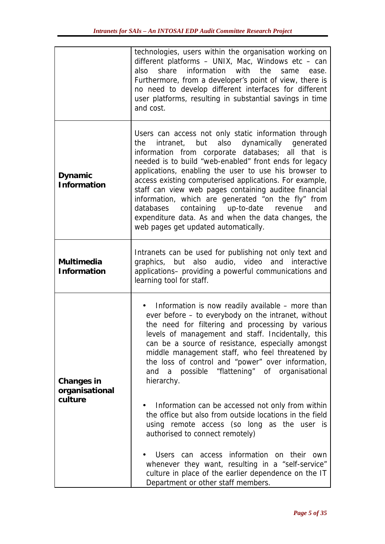|                                         | technologies, users within the organisation working on<br>different platforms - UNIX, Mac, Windows etc - can<br>share<br>information<br>with<br>the<br>also<br>same<br>ease.<br>Furthermore, from a developer's point of view, there is<br>no need to develop different interfaces for different<br>user platforms, resulting in substantial savings in time<br>and cost.                                                                                                                                                                                                                                                                                                                                                                                                                                   |
|-----------------------------------------|-------------------------------------------------------------------------------------------------------------------------------------------------------------------------------------------------------------------------------------------------------------------------------------------------------------------------------------------------------------------------------------------------------------------------------------------------------------------------------------------------------------------------------------------------------------------------------------------------------------------------------------------------------------------------------------------------------------------------------------------------------------------------------------------------------------|
| Dynamic<br><b>Information</b>           | Users can access not only static information through<br>intranet, but also dynamically generated<br>the<br>information from corporate databases; all that is<br>needed is to build "web-enabled" front ends for legacy<br>applications, enabling the user to use his browser to<br>access existing computerised applications. For example,<br>staff can view web pages containing auditee financial<br>information, which are generated "on the fly" from<br>databases containing up-to-date revenue<br>and<br>expenditure data. As and when the data changes, the<br>web pages get updated automatically.                                                                                                                                                                                                  |
| Multimedia<br>Information               | Intranets can be used for publishing not only text and<br>graphics, but also audio, video and interactive<br>applications- providing a powerful communications and<br>learning tool for staff.                                                                                                                                                                                                                                                                                                                                                                                                                                                                                                                                                                                                              |
| Changes in<br>organisational<br>culture | Information is now readily available – more than<br>ever before - to everybody on the intranet, without<br>the need for filtering and processing by various<br>levels of management and staff. Incidentally, this<br>can be a source of resistance, especially amongst<br>middle management staff, who feel threatened by<br>the loss of control and "power" over information,<br>and a possible "flattening" of organisational<br>hierarchy.<br>Information can be accessed not only from within<br>the office but also from outside locations in the field<br>using remote access (so long as the user is<br>authorised to connect remotely)<br>Users can access information on their<br>own<br>whenever they want, resulting in a "self-service"<br>culture in place of the earlier dependence on the IT |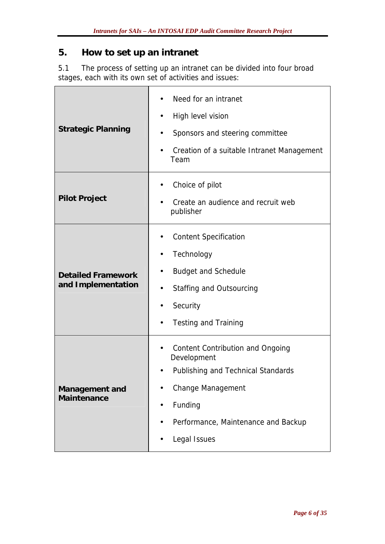#### **5. How to set up an intranet**

 $\mathsf{r}$ 

5.1 The process of setting up an intranet can be divided into four broad stages, each with its own set of activities and issues:

| <b>Strategic Planning</b>                       | Need for an intranet<br>High level vision<br>Sponsors and steering committee<br>Creation of a suitable Intranet Management<br>Team                                           |
|-------------------------------------------------|------------------------------------------------------------------------------------------------------------------------------------------------------------------------------|
| <b>Pilot Project</b>                            | Choice of pilot<br>Create an audience and recruit web<br>publisher                                                                                                           |
| <b>Detailed Framework</b><br>and Implementation | <b>Content Specification</b><br>Technology<br><b>Budget and Schedule</b><br>Staffing and Outsourcing<br>Security<br><b>Testing and Training</b>                              |
| Management and<br>Maintenance                   | Content Contribution and Ongoing<br>Development<br>Publishing and Technical Standards<br>Change Management<br>Funding<br>Performance, Maintenance and Backup<br>Legal Issues |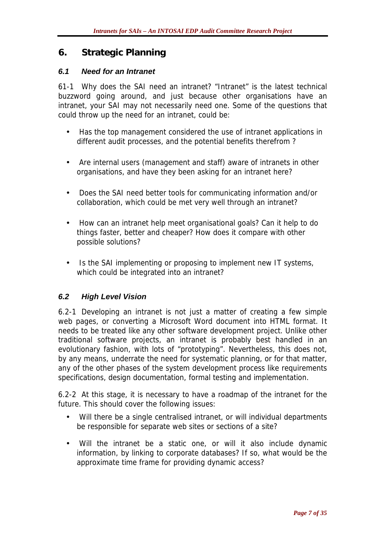#### **6. Strategic Planning**

#### *6.1 Need for an Intranet*

61-1 Why does the SAI need an intranet? "Intranet" is the latest technical buzzword going around, and just because other organisations have an intranet, your SAI may not necessarily need one. Some of the questions that could throw up the need for an intranet, could be:

- Has the top management considered the use of intranet applications in different audit processes, and the potential benefits therefrom ?
- Are internal users (management and staff) aware of intranets in other organisations, and have they been asking for an intranet here?
- Does the SAI need better tools for communicating information and/or collaboration, which could be met very well through an intranet?
- How can an intranet help meet organisational goals? Can it help to do things faster, better and cheaper? How does it compare with other possible solutions?
- Is the SAI implementing or proposing to implement new IT systems, which could be integrated into an intranet?

#### *6.2 High Level Vision*

6.2-1 Developing an intranet is not just a matter of creating a few simple web pages, or converting a Microsoft Word document into HTML format. It needs to be treated like any other software development project. Unlike other traditional software projects, an intranet is probably best handled in an evolutionary fashion, with lots of "prototyping". Nevertheless, this does not, by any means, underrate the need for systematic planning, or for that matter, any of the other phases of the system development process like requirements specifications, design documentation, formal testing and implementation.

6.2-2 At this stage, it is necessary to have a roadmap of the intranet for the future. This should cover the following issues:

- Will there be a single centralised intranet, or will individual departments be responsible for separate web sites or sections of a site?
- Will the intranet be a static one, or will it also include dynamic information, by linking to corporate databases? If so, what would be the approximate time frame for providing dynamic access?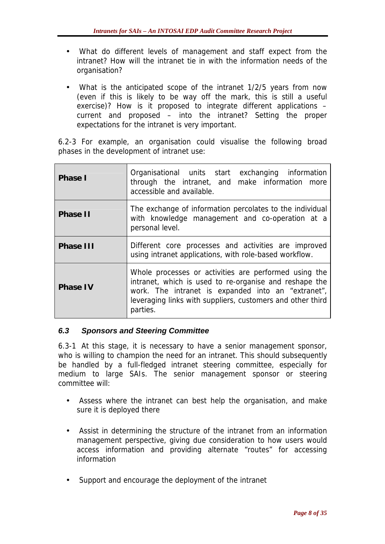- What do different levels of management and staff expect from the intranet? How will the intranet tie in with the information needs of the organisation?
- What is the anticipated scope of the intranet 1/2/5 years from now (even if this is likely to be way off the mark, this is still a useful exercise)? How is it proposed to integrate different applications – current and proposed – into the intranet? Setting the proper expectations for the intranet is very important.

6.2-3 For example, an organisation could visualise the following broad phases in the development of intranet use:

| Phase I         | Organisational units start exchanging information<br>through the intranet, and make information more<br>accessible and available.                                                                                                               |
|-----------------|-------------------------------------------------------------------------------------------------------------------------------------------------------------------------------------------------------------------------------------------------|
| Phase II        | The exchange of information percolates to the individual<br>with knowledge management and co-operation at a<br>personal level.                                                                                                                  |
| Phase III       | Different core processes and activities are improved<br>using intranet applications, with role-based workflow.                                                                                                                                  |
| <b>Phase IV</b> | Whole processes or activities are performed using the<br>intranet, which is used to re-organise and reshape the<br>work. The intranet is expanded into an "extranet",<br>leveraging links with suppliers, customers and other third<br>parties. |

#### *6.3 Sponsors and Steering Committee*

6.3-1 At this stage, it is necessary to have a senior management sponsor, who is willing to champion the need for an intranet. This should subsequently be handled by a full-fledged intranet steering committee, especially for medium to large SAIs. The senior management sponsor or steering committee will:

- Assess where the intranet can best help the organisation, and make sure it is deployed there
- Assist in determining the structure of the intranet from an information management perspective, giving due consideration to how users would access information and providing alternate "routes" for accessing information
- Support and encourage the deployment of the intranet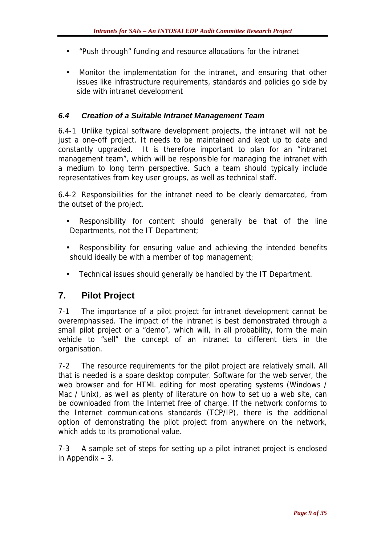- "Push through" funding and resource allocations for the intranet
- Monitor the implementation for the intranet, and ensuring that other issues like infrastructure requirements, standards and policies go side by side with intranet development

#### *6.4 Creation of a Suitable Intranet Management Team*

6.4-1 Unlike typical software development projects, the intranet will not be just a one-off project. It needs to be maintained and kept up to date and constantly upgraded. It is therefore important to plan for an "intranet management team", which will be responsible for managing the intranet with a medium to long term perspective. Such a team should typically include representatives from key user groups, as well as technical staff.

6.4-2 Responsibilities for the intranet need to be clearly demarcated, from the outset of the project.

- Responsibility for content should generally be that of the line Departments, not the IT Department;
- Responsibility for ensuring value and achieving the intended benefits should ideally be with a member of top management;
- Technical issues should generally be handled by the IT Department.

#### **7. Pilot Project**

7-1 The importance of a pilot project for intranet development cannot be overemphasised. The impact of the intranet is best demonstrated through a small pilot project or a "demo", which will, in all probability, form the main vehicle to "sell" the concept of an intranet to different tiers in the organisation.

7-2 The resource requirements for the pilot project are relatively small. All that is needed is a spare desktop computer. Software for the web server, the web browser and for HTML editing for most operating systems (Windows / Mac / Unix), as well as plenty of literature on how to set up a web site, can be downloaded from the Internet free of charge. If the network conforms to the Internet communications standards (TCP/IP), there is the additional option of demonstrating the pilot project from anywhere on the network, which adds to its promotional value.

7-3 A sample set of steps for setting up a pilot intranet project is enclosed in Appendix – 3.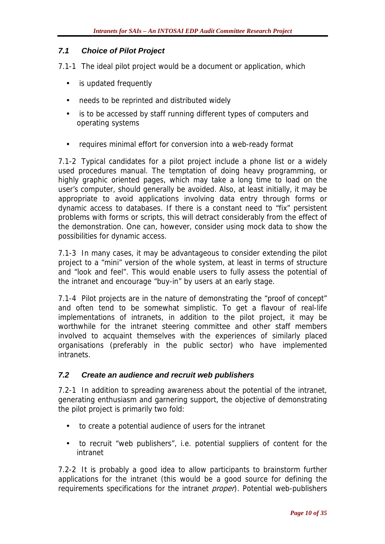#### *7.1 Choice of Pilot Project*

7.1-1 The ideal pilot project would be a document or application, which

- is updated frequently
- needs to be reprinted and distributed widely
- is to be accessed by staff running different types of computers and operating systems
- requires minimal effort for conversion into a web-ready format

7.1-2 Typical candidates for a pilot project include a phone list or a widely used procedures manual. The temptation of doing heavy programming, or highly graphic oriented pages, which may take a long time to load on the user's computer, should generally be avoided. Also, at least initially, it may be appropriate to avoid applications involving data entry through forms or dynamic access to databases. If there is a constant need to "fix" persistent problems with forms or scripts, this will detract considerably from the effect of the demonstration. One can, however, consider using mock data to show the possibilities for dynamic access.

7.1-3 In many cases, it may be advantageous to consider extending the pilot project to a "mini" version of the whole system, at least in terms of structure and "look and feel". This would enable users to fully assess the potential of the intranet and encourage "buy-in" by users at an early stage.

7.1-4 Pilot projects are in the nature of demonstrating the "proof of concept" and often tend to be somewhat simplistic. To get a flavour of real-life implementations of intranets, in addition to the pilot project, it may be worthwhile for the intranet steering committee and other staff members involved to acquaint themselves with the experiences of similarly placed organisations (preferably in the public sector) who have implemented intranets.

#### *7.2 Create an audience and recruit web publishers*

7.2-1 In addition to spreading awareness about the potential of the intranet, generating enthusiasm and garnering support, the objective of demonstrating the pilot project is primarily two fold:

- to create a potential audience of users for the intranet
- to recruit "web publishers", i.e. potential suppliers of content for the intranet

7.2-2 It is probably a good idea to allow participants to brainstorm further applications for the intranet (this would be a good source for defining the requirements specifications for the intranet *proper*). Potential web-publishers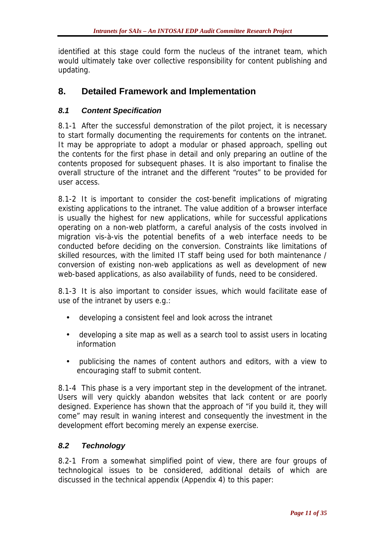identified at this stage could form the nucleus of the intranet team, which would ultimately take over collective responsibility for content publishing and updating.

#### **8. Detailed Framework and Implementation**

#### *8.1 Content Specification*

8.1-1 After the successful demonstration of the pilot project, it is necessary to start formally documenting the requirements for contents on the intranet. It may be appropriate to adopt a modular or phased approach, spelling out the contents for the first phase in detail and only preparing an outline of the contents proposed for subsequent phases. It is also important to finalise the overall structure of the intranet and the different "routes" to be provided for user access.

8.1-2 It is important to consider the cost-benefit implications of migrating existing applications to the intranet. The value addition of a browser interface is usually the highest for new applications, while for successful applications operating on a non-web platform, a careful analysis of the costs involved in migration vis-à-vis the potential benefits of a web interface needs to be conducted before deciding on the conversion. Constraints like limitations of skilled resources, with the limited IT staff being used for both maintenance / conversion of existing non-web applications as well as development of new web-based applications, as also availability of funds, need to be considered.

8.1-3 It is also important to consider issues, which would facilitate ease of use of the intranet by users e.g.:

- developing a consistent feel and look across the intranet
- developing a site map as well as a search tool to assist users in locating information
- publicising the names of content authors and editors, with a view to encouraging staff to submit content.

8.1-4 This phase is a very important step in the development of the intranet. Users will very quickly abandon websites that lack content or are poorly designed. Experience has shown that the approach of "if you build it, they will come" may result in waning interest and consequently the investment in the development effort becoming merely an expense exercise.

#### *8.2 Technology*

8.2-1 From a somewhat simplified point of view, there are four groups of technological issues to be considered, additional details of which are discussed in the technical appendix (Appendix 4) to this paper: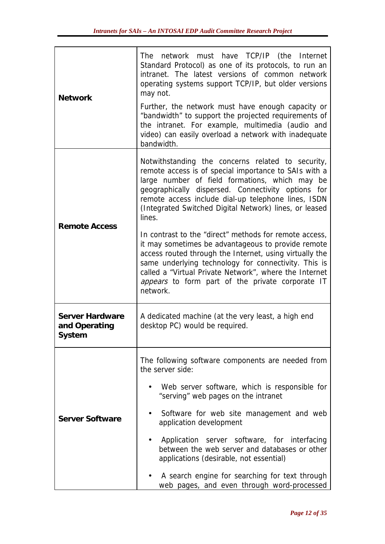| <b>Network</b>                                    | network must have TCP/IP (the Internet<br>The<br>Standard Protocol) as one of its protocols, to run an<br>intranet. The latest versions of common network<br>operating systems support TCP/IP, but older versions<br>may not.<br>Further, the network must have enough capacity or<br>"bandwidth" to support the projected requirements of<br>the intranet. For example, multimedia (audio and<br>video) can easily overload a network with inadequate<br>bandwidth. |  |
|---------------------------------------------------|----------------------------------------------------------------------------------------------------------------------------------------------------------------------------------------------------------------------------------------------------------------------------------------------------------------------------------------------------------------------------------------------------------------------------------------------------------------------|--|
| <b>Remote Access</b>                              | Notwithstanding the concerns related to security,<br>remote access is of special importance to SAIs with a<br>large number of field formations, which may be<br>geographically dispersed. Connectivity options for<br>remote access include dial-up telephone lines, ISDN<br>(Integrated Switched Digital Network) lines, or leased<br>lines.                                                                                                                        |  |
|                                                   | In contrast to the "direct" methods for remote access,<br>it may sometimes be advantageous to provide remote<br>access routed through the Internet, using virtually the<br>same underlying technology for connectivity. This is<br>called a "Virtual Private Network", where the Internet<br>appears to form part of the private corporate IT<br>network.                                                                                                            |  |
| <b>Server Hardware</b><br>and Operating<br>System | A dedicated machine (at the very least, a high end<br>desktop PC) would be required.                                                                                                                                                                                                                                                                                                                                                                                 |  |
|                                                   | The following software components are needed from<br>the server side:                                                                                                                                                                                                                                                                                                                                                                                                |  |
| <b>Server Software</b>                            | Web server software, which is responsible for<br>"serving" web pages on the intranet                                                                                                                                                                                                                                                                                                                                                                                 |  |
|                                                   | Software for web site management and web<br>application development                                                                                                                                                                                                                                                                                                                                                                                                  |  |
|                                                   | Application server software, for interfacing<br>between the web server and databases or other<br>applications (desirable, not essential)                                                                                                                                                                                                                                                                                                                             |  |
|                                                   | A search engine for searching for text through<br>web pages, and even through word-processed                                                                                                                                                                                                                                                                                                                                                                         |  |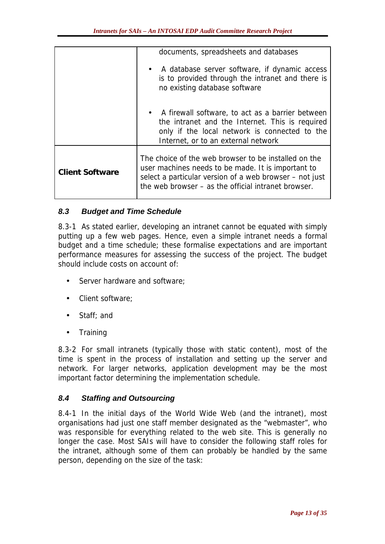|                        | documents, spreadsheets and databases                                                                                                                                                                                        |
|------------------------|------------------------------------------------------------------------------------------------------------------------------------------------------------------------------------------------------------------------------|
|                        | • A database server software, if dynamic access<br>is to provided through the intranet and there is<br>no existing database software                                                                                         |
|                        | • A firewall software, to act as a barrier between<br>the intranet and the Internet. This is required<br>only if the local network is connected to the<br>Internet, or to an external network                                |
| <b>Client Software</b> | The choice of the web browser to be installed on the<br>user machines needs to be made. It is important to<br>select a particular version of a web browser – not just<br>the web browser – as the official intranet browser. |

#### *8.3 Budget and Time Schedule*

8.3-1 As stated earlier, developing an intranet cannot be equated with simply putting up a few web pages. Hence, even a simple intranet needs a formal budget and a time schedule; these formalise expectations and are important performance measures for assessing the success of the project. The budget should include costs on account of:

- Server hardware and software;
- Client software;
- Staff: and
- Training

8.3-2 For small intranets (typically those with static content), most of the time is spent in the process of installation and setting up the server and network. For larger networks, application development may be the most important factor determining the implementation schedule.

#### *8.4 Staffing and Outsourcing*

8.4-1 In the initial days of the World Wide Web (and the intranet), most organisations had just one staff member designated as the "webmaster", who was responsible for everything related to the web site. This is generally no longer the case. Most SAIs will have to consider the following staff roles for the intranet, although some of them can probably be handled by the same person, depending on the size of the task: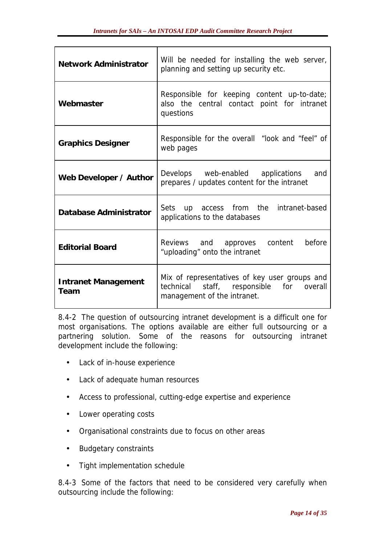| <b>Network Administrator</b>       | Will be needed for installing the web server,<br>planning and setting up security etc.                                   |
|------------------------------------|--------------------------------------------------------------------------------------------------------------------------|
| Webmaster                          | Responsible for keeping content up-to-date;<br>also the central contact point for intranet<br>questions                  |
| <b>Graphics Designer</b>           | Responsible for the overall "look and "feel" of<br>web pages                                                             |
| Web Developer / Author             | Develops web-enabled applications<br>and<br>prepares / updates content for the intranet                                  |
| Database Administrator             | Sets up access from the intranet-based<br>applications to the databases                                                  |
| <b>Editorial Board</b>             | Reviews and approves content<br>before<br>"uploading" onto the intranet                                                  |
| <b>Intranet Management</b><br>Team | Mix of representatives of key user groups and<br>technical staff, responsible for overall<br>management of the intranet. |

8.4-2 The question of outsourcing intranet development is a difficult one for most organisations. The options available are either full outsourcing or a partnering solution. Some of the reasons for outsourcing intranet development include the following:

- Lack of in-house experience
- Lack of adequate human resources
- Access to professional, cutting-edge expertise and experience
- Lower operating costs
- Organisational constraints due to focus on other areas
- Budgetary constraints
- Tight implementation schedule

8.4-3 Some of the factors that need to be considered very carefully when outsourcing include the following: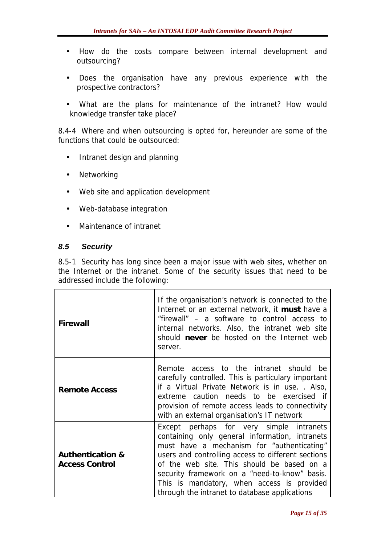- How do the costs compare between internal development and outsourcing?
- Does the organisation have any previous experience with the prospective contractors?
- What are the plans for maintenance of the intranet? How would knowledge transfer take place?

8.4-4 Where and when outsourcing is opted for, hereunder are some of the functions that could be outsourced:

- Intranet design and planning
- Networking
- Web site and application development
- Web-database integration
- Maintenance of intranet

#### *8.5 Security*

8.5-1 Security has long since been a major issue with web sites, whether on the Internet or the intranet. Some of the security issues that need to be addressed include the following:

| Firewall                                             | If the organisation's network is connected to the<br>Internet or an external network, it must have a<br>"firewall" - a software to control access to<br>internal networks. Also, the intranet web site<br>should never be hosted on the Internet web<br>server.                                                                                                                              |
|------------------------------------------------------|----------------------------------------------------------------------------------------------------------------------------------------------------------------------------------------------------------------------------------------------------------------------------------------------------------------------------------------------------------------------------------------------|
| <b>Remote Access</b>                                 | Remote access to the intranet should<br>he.<br>carefully controlled. This is particulary important<br>if a Virtual Private Network is in use. . Also,<br>extreme caution needs to be exercised if<br>provision of remote access leads to connectivity<br>with an external organisation's IT network                                                                                          |
| <b>Authentication &amp;</b><br><b>Access Control</b> | Except perhaps for very simple intranets<br>containing only general information, intranets<br>must have a mechanism for "authenticating"<br>users and controlling access to different sections<br>of the web site. This should be based on a<br>security framework on a "need-to-know" basis.<br>This is mandatory, when access is provided<br>through the intranet to database applications |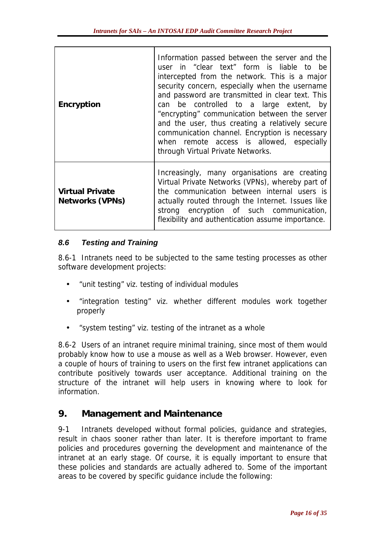| Encryption                                | Information passed between the server and the<br>user in "clear text" form is liable to be<br>intercepted from the network. This is a major<br>security concern, especially when the username<br>and password are transmitted in clear text. This<br>can be controlled to a large extent, by<br>"encrypting" communication between the server<br>and the user, thus creating a relatively secure<br>communication channel. Encryption is necessary<br>when remote access is allowed, especially<br>through Virtual Private Networks. |
|-------------------------------------------|--------------------------------------------------------------------------------------------------------------------------------------------------------------------------------------------------------------------------------------------------------------------------------------------------------------------------------------------------------------------------------------------------------------------------------------------------------------------------------------------------------------------------------------|
| <b>Virtual Private</b><br>Networks (VPNs) | Increasingly, many organisations are creating<br>Virtual Private Networks (VPNs), whereby part of<br>the communication between internal users is<br>actually routed through the Internet. Issues like<br>strong encryption of such communication,<br>flexibility and authentication assume importance.                                                                                                                                                                                                                               |

#### *8.6 Testing and Training*

8.6-1 Intranets need to be subjected to the same testing processes as other software development projects:

- "unit testing" viz. testing of individual modules
- "integration testing" viz. whether different modules work together properly
- "system testing" viz. testing of the intranet as a whole

8.6-2 Users of an intranet require minimal training, since most of them would probably know how to use a mouse as well as a Web browser. However, even a couple of hours of training to users on the first few intranet applications can contribute positively towards user acceptance. Additional training on the structure of the intranet will help users in knowing where to look for information.

#### **9. Management and Maintenance**

9-1 Intranets developed without formal policies, guidance and strategies, result in chaos sooner rather than later. It is therefore important to frame policies and procedures governing the development and maintenance of the intranet at an early stage. Of course, it is equally important to ensure that these policies and standards are actually adhered to. Some of the important areas to be covered by specific guidance include the following: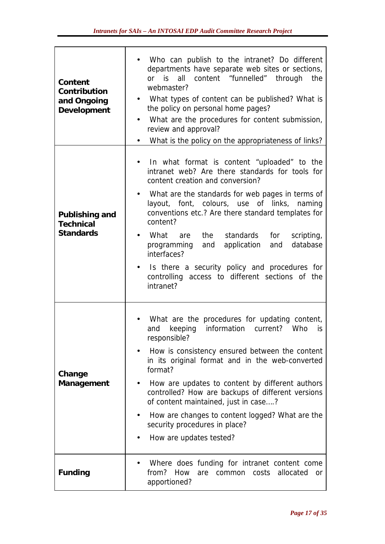| Content<br>Contribution<br>and Ongoing<br>Development  | Who can publish to the intranet? Do different<br>departments have separate web sites or sections,<br>all content "funnelled" through<br>or is<br>the<br>webmaster?<br>What types of content can be published? What is<br>the policy on personal home pages?<br>What are the procedures for content submission,<br>$\bullet$<br>review and approval?<br>What is the policy on the appropriateness of links?                                                                                                                                                           |
|--------------------------------------------------------|----------------------------------------------------------------------------------------------------------------------------------------------------------------------------------------------------------------------------------------------------------------------------------------------------------------------------------------------------------------------------------------------------------------------------------------------------------------------------------------------------------------------------------------------------------------------|
| Publishing and<br><b>Technical</b><br><b>Standards</b> | In what format is content "uploaded" to the<br>intranet web? Are there standards for tools for<br>content creation and conversion?<br>What are the standards for web pages in terms of<br>layout, font, colours, use of links, naming<br>conventions etc.? Are there standard templates for<br>content?<br>What<br>standards<br>the<br>for<br>scripting,<br>are<br>application<br>database<br>and<br>programming<br>and<br>interfaces?<br>Is there a security policy and procedures for<br>$\bullet$<br>controlling access to different sections of the<br>intranet? |
| Change<br>Management                                   | What are the procedures for updating content,<br>keeping<br>information<br>current?<br>Who<br>$\mathsf{is}$<br>and<br>responsible?<br>How is consistency ensured between the content<br>in its original format and in the web-converted<br>format?<br>How are updates to content by different authors<br>controlled? How are backups of different versions<br>of content maintained, just in case?<br>How are changes to content logged? What are the<br>٠<br>security procedures in place?<br>How are updates tested?                                               |
| Funding                                                | Where does funding for intranet content come<br>from?<br>How<br>allocated<br>costs<br>common<br>are<br><b>or</b><br>apportioned?                                                                                                                                                                                                                                                                                                                                                                                                                                     |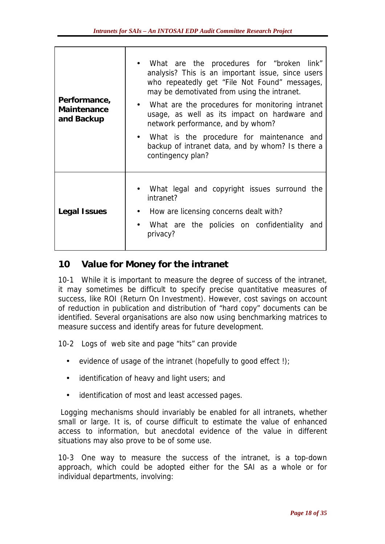| Performance,<br>Maintenance<br>and Backup | • What are the procedures for "broken link"<br>analysis? This is an important issue, since users<br>who repeatedly get "File Not Found" messages,<br>may be demotivated from using the intranet.<br>• What are the procedures for monitoring intranet<br>usage, as well as its impact on hardware and<br>network performance, and by whom?<br>What is the procedure for maintenance and<br>backup of intranet data, and by whom? Is there a<br>contingency plan? |
|-------------------------------------------|------------------------------------------------------------------------------------------------------------------------------------------------------------------------------------------------------------------------------------------------------------------------------------------------------------------------------------------------------------------------------------------------------------------------------------------------------------------|
| Legal Issues                              | What legal and copyright issues surround the<br>intranet?<br>How are licensing concerns dealt with?<br>What are the policies on confidentiality<br>and<br>privacy?                                                                                                                                                                                                                                                                                               |

#### **10 Value for Money for the intranet**

10-1 While it is important to measure the degree of success of the intranet, it may sometimes be difficult to specify precise quantitative measures of success, like ROI (Return On Investment). However, cost savings on account of reduction in publication and distribution of "hard copy" documents can be identified. Several organisations are also now using benchmarking matrices to measure success and identify areas for future development.

10-2 Logs of web site and page "hits" can provide

- evidence of usage of the intranet (hopefully to good effect!);
- identification of heavy and light users; and
- identification of most and least accessed pages.

 Logging mechanisms should invariably be enabled for all intranets, whether small or large. It is, of course difficult to estimate the value of enhanced access to information, but anecdotal evidence of the value in different situations may also prove to be of some use.

10-3 One way to measure the success of the intranet, is a top-down approach, which could be adopted either for the SAI as a whole or for individual departments, involving: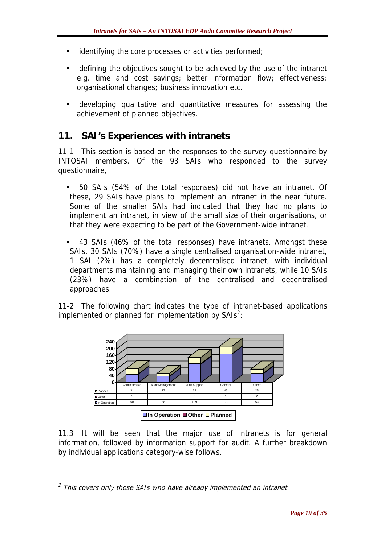- identifying the core processes or activities performed;
- defining the objectives sought to be achieved by the use of the intranet e.g. time and cost savings; better information flow; effectiveness; organisational changes; business innovation etc.
- developing qualitative and quantitative measures for assessing the achievement of planned objectives.

#### **11. SAI's Experiences with intranets**

11-1 This section is based on the responses to the survey questionnaire by INTOSAI members. Of the 93 SAIs who responded to the survey questionnaire,

- 50 SAIs (54% of the total responses) did not have an intranet. Of these, 29 SAIs have plans to implement an intranet in the near future. Some of the smaller SAIs had indicated that they had no plans to implement an intranet, in view of the small size of their organisations, or that they were expecting to be part of the Government-wide intranet.
- 43 SAIs (46% of the total responses) have intranets. Amongst these SAIs, 30 SAIs (70%) have a single centralised organisation-wide intranet, 1 SAI (2%) has a completely decentralised intranet, with individual departments maintaining and managing their own intranets, while 10 SAIs (23%) have a combination of the centralised and decentralised approaches.

11-2 The following chart indicates the type of intranet-based applications implemented or planned for implementation by  $SAB<sup>2</sup>$ :



11.3 It will be seen that the major use of intranets is for general information, followed by information support for audit. A further breakdown by individual applications category-wise follows.

 $\overline{a}$ 

 $<sup>2</sup>$  This covers only those SAIs who have already implemented an intranet.</sup>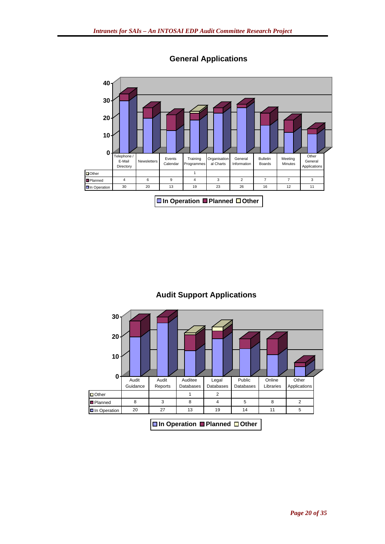

**General Applications**

#### **Audit Support Applications**



#### **In Operation Planned Other**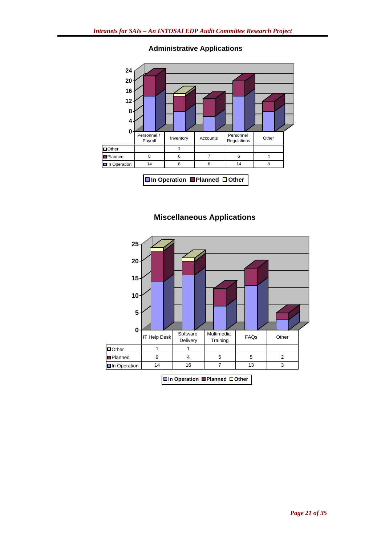

#### **Administrative Applications**

**In Operation Planned Other**

#### **Miscellaneous Applications**

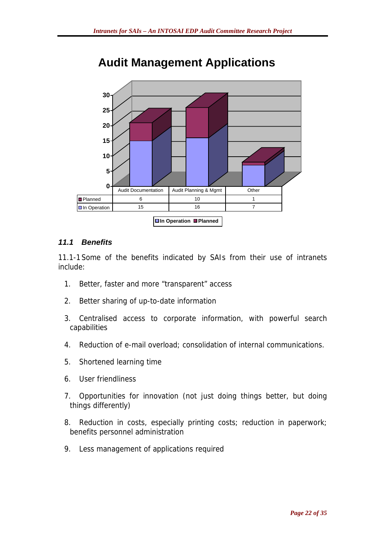

## **Audit Management Applications**

#### *11.1 Benefits*

11.1-1 Some of the benefits indicated by SAIs from their use of intranets include:

- 1. Better, faster and more "transparent" access
- 2. Better sharing of up-to-date information
- 3. Centralised access to corporate information, with powerful search capabilities
- 4. Reduction of e-mail overload; consolidation of internal communications.
- 5. Shortened learning time
- 6. User friendliness
- 7. Opportunities for innovation (not just doing things better, but doing things differently)
- 8. Reduction in costs, especially printing costs; reduction in paperwork; benefits personnel administration
- 9. Less management of applications required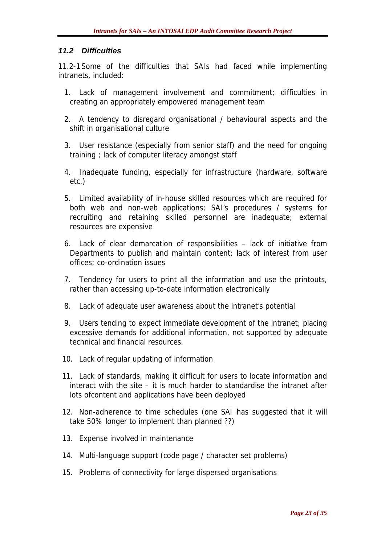#### *11.2 Difficulties*

11.2-1 Some of the difficulties that SAIs had faced while implementing intranets, included:

- 1. Lack of management involvement and commitment; difficulties in creating an appropriately empowered management team
- 2. A tendency to disregard organisational / behavioural aspects and the shift in organisational culture
- 3. User resistance (especially from senior staff) and the need for ongoing training ; lack of computer literacy amongst staff
- 4. Inadequate funding, especially for infrastructure (hardware, software etc.)
- 5. Limited availability of in-house skilled resources which are required for both web and non-web applications; SAI's procedures / systems for recruiting and retaining skilled personnel are inadequate; external resources are expensive
- 6. Lack of clear demarcation of responsibilities lack of initiative from Departments to publish and maintain content; lack of interest from user offices; co-ordination issues
- 7. Tendency for users to print all the information and use the printouts, rather than accessing up-to-date information electronically
- 8. Lack of adequate user awareness about the intranet's potential
- 9. Users tending to expect immediate development of the intranet; placing excessive demands for additional information, not supported by adequate technical and financial resources.
- 10. Lack of regular updating of information
- 11. Lack of standards, making it difficult for users to locate information and interact with the site – it is much harder to standardise the intranet after lots ofcontent and applications have been deployed
- 12. Non-adherence to time schedules (one SAI has suggested that it will take 50% longer to implement than planned ??)
- 13. Expense involved in maintenance
- 14. Multi-language support (code page / character set problems)
- 15. Problems of connectivity for large dispersed organisations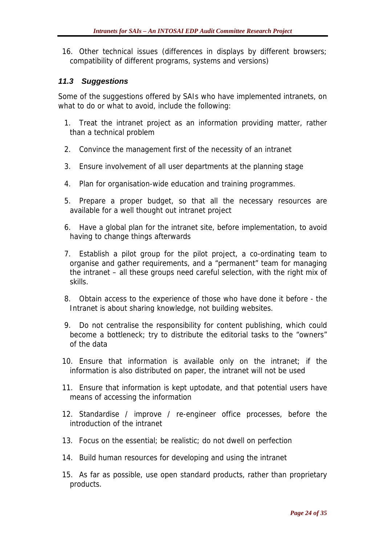16. Other technical issues (differences in displays by different browsers; compatibility of different programs, systems and versions)

#### *11.3 Suggestions*

Some of the suggestions offered by SAIs who have implemented intranets, on what to do or what to avoid, include the following:

- 1. Treat the intranet project as an information providing matter, rather than a technical problem
- 2. Convince the management first of the necessity of an intranet
- 3. Ensure involvement of all user departments at the planning stage
- 4. Plan for organisation-wide education and training programmes.
- 5. Prepare a proper budget, so that all the necessary resources are available for a well thought out intranet project
- 6. Have a global plan for the intranet site, before implementation, to avoid having to change things afterwards
- 7. Establish a pilot group for the pilot project, a co-ordinating team to organise and gather requirements, and a "permanent" team for managing the intranet – all these groups need careful selection, with the right mix of skills.
- 8. Obtain access to the experience of those who have done it before the Intranet is about sharing knowledge, not building websites.
- 9. Do not centralise the responsibility for content publishing, which could become a bottleneck; try to distribute the editorial tasks to the "owners" of the data
- 10. Ensure that information is available only on the intranet; if the information is also distributed on paper, the intranet will not be used
- 11. Ensure that information is kept uptodate, and that potential users have means of accessing the information
- 12. Standardise / improve / re-engineer office processes, before the introduction of the intranet
- 13. Focus on the essential; be realistic; do not dwell on perfection
- 14. Build human resources for developing and using the intranet
- 15. As far as possible, use open standard products, rather than proprietary products.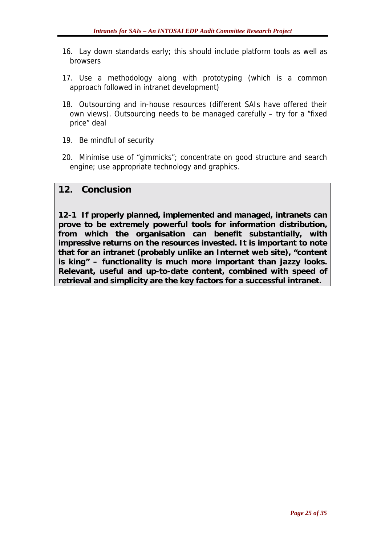- 16. Lay down standards early; this should include platform tools as well as browsers
- 17. Use a methodology along with prototyping (which is a common approach followed in intranet development)
- 18. Outsourcing and in-house resources (different SAIs have offered their own views). Outsourcing needs to be managed carefully – try for a "fixed price" deal
- 19. Be mindful of security
- 20. Minimise use of "gimmicks"; concentrate on good structure and search engine; use appropriate technology and graphics.

#### **12. Conclusion**

**12-1 If properly planned, implemented and managed, intranets can prove to be extremely powerful tools for information distribution, from which the organisation can benefit substantially, with impressive returns on the resources invested. It is important to note that for an intranet (probably unlike an Internet web site), "content is king" – functionality is much more important than jazzy looks. Relevant, useful and up-to-date content, combined with speed of retrieval and simplicity are the key factors for a successful intranet.**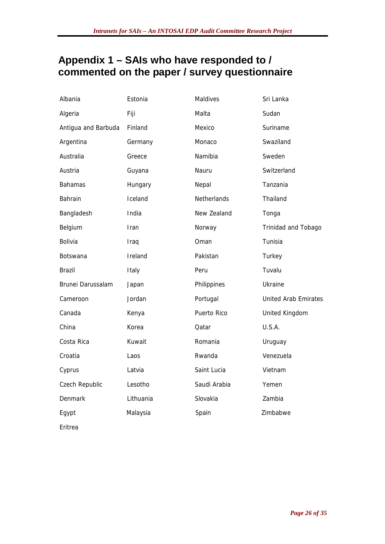## **Appendix 1 – SAIs who have responded to / commented on the paper / survey questionnaire**

| Albania             | Estonia   | Maldives     | Sri Lanka                   |
|---------------------|-----------|--------------|-----------------------------|
| Algeria             | Fiji      | Malta        | Sudan                       |
| Antigua and Barbuda | Finland   | Mexico       | Suriname                    |
| Argentina           | Germany   | Monaco       | Swaziland                   |
| Australia           | Greece    | Namibia      | Sweden                      |
| Austria             | Guyana    | Nauru        | Switzerland                 |
| <b>Bahamas</b>      | Hungary   | Nepal        | Tanzania                    |
| Bahrain             | Iceland   | Netherlands  | Thailand                    |
| Bangladesh          | India     | New Zealand  | Tonga                       |
| Belgium             | Iran      | Norway       | Trinidad and Tobago         |
| Bolivia             | Iraq      | Oman         | Tunisia                     |
| <b>Botswana</b>     | Ireland   | Pakistan     | Turkey                      |
| <b>Brazil</b>       | Italy     | Peru         | Tuvalu                      |
| Brunei Darussalam   | Japan     | Philippines  | Ukraine                     |
| Cameroon            | Jordan    | Portugal     | <b>United Arab Emirates</b> |
| Canada              | Kenya     | Puerto Rico  | United Kingdom              |
| China               | Korea     | Qatar        | U.S.A.                      |
| Costa Rica          | Kuwait    | Romania      | Uruguay                     |
| Croatia             | Laos      | Rwanda       | Venezuela                   |
| Cyprus              | Latvia    | Saint Lucia  | Vietnam                     |
| Czech Republic      | Lesotho   | Saudi Arabia | Yemen                       |
| Denmark             | Lithuania | Slovakia     | Zambia                      |
| Egypt               | Malaysia  | Spain        | Zimbabwe                    |
| Eritrea             |           |              |                             |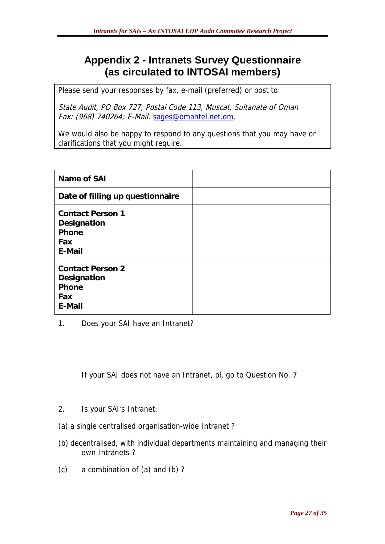## **Appendix 2 - Intranets Survey Questionnaire (as circulated to INTOSAI members)**

Please send your responses by fax, e-mail (preferred) or post to

State Audit, PO Box 727, Postal Code 113, Muscat, Sultanate of Oman Fax: (968) 740264; E-Mail: [sages@omantel.net.om](mailto:sages@omantel.net.om).

We would also be happy to respond to any questions that you may have or clarifications that you might require.

| Name of SAI                                                      |  |
|------------------------------------------------------------------|--|
| Date of filling up questionnaire                                 |  |
| <b>Contact Person 1</b><br>Designation<br>Phone<br>Fax<br>E-Mail |  |
| <b>Contact Person 2</b><br>Designation<br>Phone<br>Fax<br>E-Mail |  |

1. Does your SAI have an Intranet?

If your SAI does not have an Intranet, pl. go to Question No. 7

- 2. Is your SAI's Intranet:
- (a) a single centralised organisation-wide Intranet ?
- (b) decentralised, with individual departments maintaining and managing their own Intranets ?
- (c) a combination of (a) and (b) ?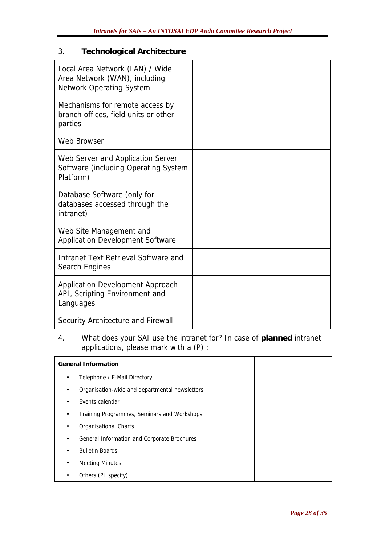#### 3. **Technological Architecture**

| Local Area Network (LAN) / Wide<br>Area Network (WAN), including<br><b>Network Operating System</b> |  |
|-----------------------------------------------------------------------------------------------------|--|
| Mechanisms for remote access by<br>branch offices, field units or other<br>parties                  |  |
| Web Browser                                                                                         |  |
| Web Server and Application Server<br>Software (including Operating System<br>Platform)              |  |
| Database Software (only for<br>databases accessed through the<br>intranet)                          |  |
| Web Site Management and<br>Application Development Software                                         |  |
| Intranet Text Retrieval Software and<br>Search Engines                                              |  |
| Application Development Approach -<br>API, Scripting Environment and<br>Languages                   |  |
| Security Architecture and Firewall                                                                  |  |

#### 4. What does your SAI use the intranet for? In case of **planned** intranet applications, please mark with a (P) :

|   | <b>General Information</b>                     |  |
|---|------------------------------------------------|--|
| ٠ | Telephone / E-Mail Directory                   |  |
| ٠ | Organisation-wide and departmental newsletters |  |
| ٠ | Events calendar                                |  |
| ٠ | Training Programmes, Seminars and Workshops    |  |
|   | Organisational Charts                          |  |
| ٠ | General Information and Corporate Brochures    |  |
|   | <b>Bulletin Boards</b>                         |  |
|   | <b>Meeting Minutes</b>                         |  |
|   | Others (Pl. specify)                           |  |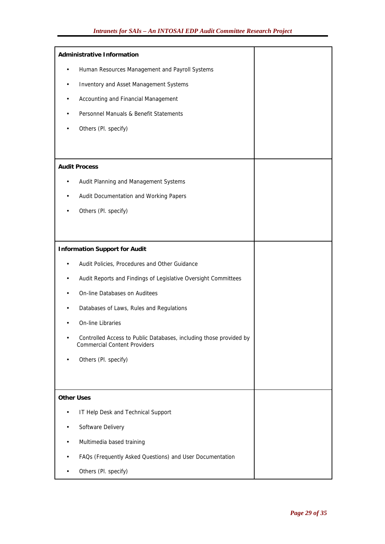| <b>Administrative Information</b>                                                                                      |  |  |
|------------------------------------------------------------------------------------------------------------------------|--|--|
| Human Resources Management and Payroll Systems                                                                         |  |  |
| Inventory and Asset Management Systems                                                                                 |  |  |
| Accounting and Financial Management                                                                                    |  |  |
| Personnel Manuals & Benefit Statements                                                                                 |  |  |
| Others (Pl. specify)                                                                                                   |  |  |
|                                                                                                                        |  |  |
| <b>Audit Process</b>                                                                                                   |  |  |
| Audit Planning and Management Systems                                                                                  |  |  |
| Audit Documentation and Working Papers                                                                                 |  |  |
| Others (Pl. specify)                                                                                                   |  |  |
|                                                                                                                        |  |  |
|                                                                                                                        |  |  |
| <b>Information Support for Audit</b>                                                                                   |  |  |
| Audit Policies, Procedures and Other Guidance                                                                          |  |  |
| Audit Reports and Findings of Legislative Oversight Committees                                                         |  |  |
| On-line Databases on Auditees                                                                                          |  |  |
| Databases of Laws, Rules and Regulations                                                                               |  |  |
| On-line Libraries                                                                                                      |  |  |
| Controlled Access to Public Databases, including those provided by<br>$\bullet$<br><b>Commercial Content Providers</b> |  |  |
| Others (Pl. specify)                                                                                                   |  |  |
|                                                                                                                        |  |  |
| <b>Other Uses</b>                                                                                                      |  |  |
| IT Help Desk and Technical Support                                                                                     |  |  |
| Software Delivery                                                                                                      |  |  |
| Multimedia based training                                                                                              |  |  |
| FAQs (Frequently Asked Questions) and User Documentation                                                               |  |  |
| Others (Pl. specify)                                                                                                   |  |  |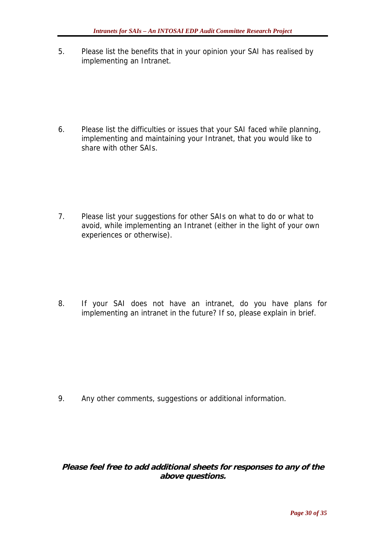5. Please list the benefits that in your opinion your SAI has realised by implementing an Intranet.

6. Please list the difficulties or issues that your SAI faced while planning, implementing and maintaining your Intranet, that you would like to share with other SAIs.

7. Please list your suggestions for other SAIs on what to do or what to avoid, while implementing an Intranet (either in the light of your own experiences or otherwise).

8. If your SAI does not have an intranet, do you have plans for implementing an intranet in the future? If so, please explain in brief.

9. Any other comments, suggestions or additional information.

**Please feel free to add additional sheets for responses to any of the above questions.**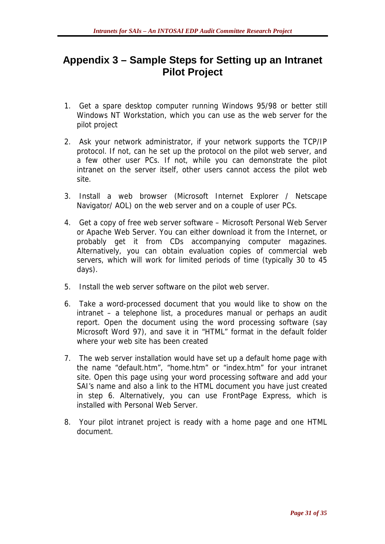### **Appendix 3 – Sample Steps for Setting up an Intranet Pilot Project**

- 1. Get a spare desktop computer running Windows 95/98 or better still Windows NT Workstation, which you can use as the web server for the pilot project
- 2. Ask your network administrator, if your network supports the TCP/IP protocol. If not, can he set up the protocol on the pilot web server, and a few other user PCs. If not, while you can demonstrate the pilot intranet on the server itself, other users cannot access the pilot web site.
- 3. Install a web browser (Microsoft Internet Explorer / Netscape Navigator/ AOL) on the web server and on a couple of user PCs.
- 4. Get a copy of free web server software Microsoft Personal Web Server or Apache Web Server. You can either download it from the Internet, or probably get it from CDs accompanying computer magazines. Alternatively, you can obtain evaluation copies of commercial web servers, which will work for limited periods of time (typically 30 to 45 days).
- 5. Install the web server software on the pilot web server.
- 6. Take a word-processed document that you would like to show on the intranet – a telephone list, a procedures manual or perhaps an audit report. Open the document using the word processing software (say Microsoft Word 97), and save it in "HTML" format in the default folder where your web site has been created
- 7. The web server installation would have set up a default home page with the name "default.htm", "home.htm" or "index.htm" for your intranet site. Open this page using your word processing software and add your SAI's name and also a link to the HTML document you have just created in step 6. Alternatively, you can use FrontPage Express, which is installed with Personal Web Server.
- 8. Your pilot intranet project is ready with a home page and one HTML document.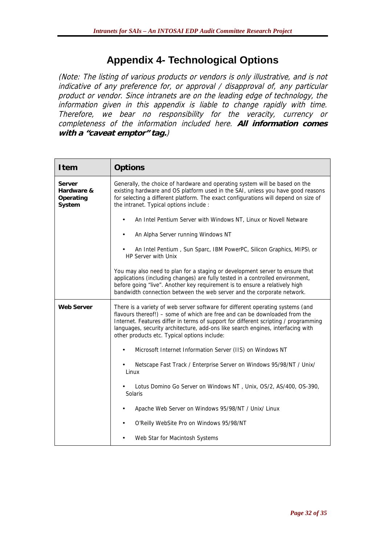## **Appendix 4- Technological Options**

(Note: The listing of various products or vendors is only illustrative, and is not indicative of any preference for, or approval / disapproval of, any particular product or vendor. Since intranets are on the leading edge of technology, the information given in this appendix is liable to change rapidly with time. Therefore, we bear no responsibility for the veracity, currency or completeness of the information included here. **All information comes with a "caveat emptor" tag.**)

| <b>Item</b>                                 | <b>Options</b>                                                                                                                                                                                                                                                                                                                                                                         |
|---------------------------------------------|----------------------------------------------------------------------------------------------------------------------------------------------------------------------------------------------------------------------------------------------------------------------------------------------------------------------------------------------------------------------------------------|
| Server<br>Hardware &<br>Operating<br>System | Generally, the choice of hardware and operating system will be based on the<br>existing hardware and OS platform used in the SAI, unless you have good reasons<br>for selecting a different platform. The exact configurations will depend on size of<br>the intranet. Typical options include :                                                                                       |
|                                             | An Intel Pentium Server with Windows NT, Linux or Novell Netware                                                                                                                                                                                                                                                                                                                       |
|                                             | An Alpha Server running Windows NT                                                                                                                                                                                                                                                                                                                                                     |
|                                             | An Intel Pentium, Sun Sparc, IBM PowerPC, Silicon Graphics, MIPS\ or<br><b>HP Server with Unix</b>                                                                                                                                                                                                                                                                                     |
|                                             | You may also need to plan for a staging or development server to ensure that<br>applications (including changes) are fully tested in a controlled environment,<br>before going "live". Another key requirement is to ensure a relatively high<br>bandwidth connection between the web server and the corporate network.                                                                |
| <b>Web Server</b>                           | There is a variety of web server software for different operating systems (and<br>flavours thereof!) - some of which are free and can be downloaded from the<br>Internet. Features differ in terms of support for different scripting / programming<br>languages, security architecture, add-ons like search engines, interfacing with<br>other products etc. Typical options include: |
|                                             | Microsoft Internet Information Server (IIS) on Windows NT                                                                                                                                                                                                                                                                                                                              |
|                                             | Netscape Fast Track / Enterprise Server on Windows 95/98/NT / Unix/<br>Linux                                                                                                                                                                                                                                                                                                           |
|                                             | Lotus Domino Go Server on Windows NT, Unix, OS/2, AS/400, OS-390,<br><b>Solaris</b>                                                                                                                                                                                                                                                                                                    |
|                                             | Apache Web Server on Windows 95/98/NT / Unix/ Linux                                                                                                                                                                                                                                                                                                                                    |
|                                             | O'Reilly WebSite Pro on Windows 95/98/NT                                                                                                                                                                                                                                                                                                                                               |
|                                             | Web Star for Macintosh Systems                                                                                                                                                                                                                                                                                                                                                         |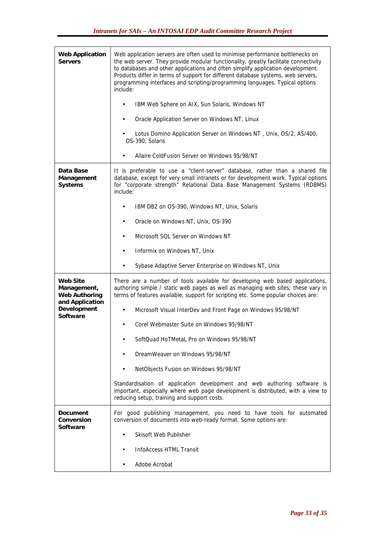| <b>Web Application</b><br><b>Servers</b>               | Web application servers are often used to minimise performance bottlenecks on<br>the web server. They provide modular functionality, greatly facilitate connectivity<br>to databases and other applications and often simplify application development.<br>Products differ in terms of support for different database systems, web servers,<br>programming interfaces and scripting/programming languages. Typical options<br>include: |
|--------------------------------------------------------|----------------------------------------------------------------------------------------------------------------------------------------------------------------------------------------------------------------------------------------------------------------------------------------------------------------------------------------------------------------------------------------------------------------------------------------|
|                                                        | IBM Web Sphere on AIX, Sun Solaris, Windows NT                                                                                                                                                                                                                                                                                                                                                                                         |
|                                                        | Oracle Application Server on Windows NT, Linux                                                                                                                                                                                                                                                                                                                                                                                         |
|                                                        | Lotus Domino Application Server on Windows NT, Unix, OS/2, AS/400,<br>OS-390, Solaris                                                                                                                                                                                                                                                                                                                                                  |
|                                                        | Allaire ColdFusion Server on Windows 95/98/NT                                                                                                                                                                                                                                                                                                                                                                                          |
| Data Base<br>Management<br>Systems                     | It is preferable to use a "client-server" database, rather than a shared file<br>database, except for very small intranets or for development work. Typical options<br>for "corporate strength" Relational Data Base Management Systems (RDBMS)<br>include:                                                                                                                                                                            |
|                                                        | IBM DB2 on OS-390, Windows NT, Unix, Solaris                                                                                                                                                                                                                                                                                                                                                                                           |
|                                                        | Oracle on Windows NT, Unix, OS-390                                                                                                                                                                                                                                                                                                                                                                                                     |
|                                                        | Microsoft SQL Server on Windows NT                                                                                                                                                                                                                                                                                                                                                                                                     |
|                                                        | Informix on Windows NT, Unix<br>$\bullet$                                                                                                                                                                                                                                                                                                                                                                                              |
|                                                        | Sybase Adaptive Server Enterprise on Windows NT, Unix                                                                                                                                                                                                                                                                                                                                                                                  |
| <b>Web Site</b><br>Management,<br><b>Web Authoring</b> |                                                                                                                                                                                                                                                                                                                                                                                                                                        |
|                                                        | There are a number of tools available for developing web based applications,<br>authoring simple / static web pages as well as managing web sites; these vary in<br>terms of features available, support for scripting etc. Some popular choices are:                                                                                                                                                                                  |
| and Application<br>Development                         | Microsoft Visual InterDev and Front Page on Windows 95/98/NT                                                                                                                                                                                                                                                                                                                                                                           |
| Software                                               | Corel Webmaster Suite on Windows 95/98/NT                                                                                                                                                                                                                                                                                                                                                                                              |
|                                                        | SoftQuad HoTMetaL Pro on Windows 95/98/NT                                                                                                                                                                                                                                                                                                                                                                                              |
|                                                        | DreamWeaver on Windows 95/98/NT                                                                                                                                                                                                                                                                                                                                                                                                        |
|                                                        | NetObjects Fusion on Windows 95/98/NT                                                                                                                                                                                                                                                                                                                                                                                                  |
|                                                        | Standardisation of application development and web authoring software is<br>important, especially where web page development is distributed, with a view to<br>reducing setup, training and support costs.                                                                                                                                                                                                                             |
| Document<br>Conversion<br>Software                     | For good publishing management, you need to have tools for automated<br>conversion of documents into web-ready format. Some options are:                                                                                                                                                                                                                                                                                               |
|                                                        | Skisoft Web Publisher                                                                                                                                                                                                                                                                                                                                                                                                                  |
|                                                        | InfoAccess HTML Transit                                                                                                                                                                                                                                                                                                                                                                                                                |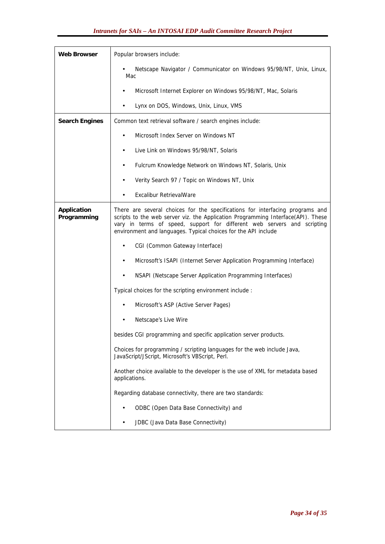| <b>Web Browser</b>         | Popular browsers include:                                                                                                                                                                                                                                                                                      |
|----------------------------|----------------------------------------------------------------------------------------------------------------------------------------------------------------------------------------------------------------------------------------------------------------------------------------------------------------|
|                            | Netscape Navigator / Communicator on Windows 95/98/NT, Unix, Linux,<br>Mac                                                                                                                                                                                                                                     |
|                            | Microsoft Internet Explorer on Windows 95/98/NT, Mac, Solaris                                                                                                                                                                                                                                                  |
|                            | Lynx on DOS, Windows, Unix, Linux, VMS                                                                                                                                                                                                                                                                         |
| <b>Search Engines</b>      | Common text retrieval software / search engines include:                                                                                                                                                                                                                                                       |
|                            | Microsoft Index Server on Windows NT                                                                                                                                                                                                                                                                           |
|                            | Live Link on Windows 95/98/NT, Solaris                                                                                                                                                                                                                                                                         |
|                            | Fulcrum Knowledge Network on Windows NT, Solaris, Unix                                                                                                                                                                                                                                                         |
|                            | Verity Search 97 / Topic on Windows NT, Unix                                                                                                                                                                                                                                                                   |
|                            | <b>Excalibur RetrievalWare</b>                                                                                                                                                                                                                                                                                 |
| Application<br>Programming | There are several choices for the specifications for interfacing programs and<br>scripts to the web server viz. the Application Programming Interface(API). These<br>vary in terms of speed, support for different web servers and scripting<br>environment and languages. Typical choices for the API include |
|                            | CGI (Common Gateway Interface)                                                                                                                                                                                                                                                                                 |
|                            | Microsoft's ISAPI (Internet Server Application Programming Interface)                                                                                                                                                                                                                                          |
|                            | NSAPI (Netscape Server Application Programming Interfaces)                                                                                                                                                                                                                                                     |
|                            | Typical choices for the scripting environment include :                                                                                                                                                                                                                                                        |
|                            | Microsoft's ASP (Active Server Pages)                                                                                                                                                                                                                                                                          |
|                            | Netscape's Live Wire                                                                                                                                                                                                                                                                                           |
|                            | besides CGI programming and specific application server products.                                                                                                                                                                                                                                              |
|                            | Choices for programming / scripting languages for the web include Java,<br>JavaScript/JScript, Microsoft's VBScript, Perl.                                                                                                                                                                                     |
|                            | Another choice available to the developer is the use of XML for metadata based<br>applications.                                                                                                                                                                                                                |
|                            | Regarding database connectivity, there are two standards:                                                                                                                                                                                                                                                      |
|                            | ODBC (Open Data Base Connectivity) and                                                                                                                                                                                                                                                                         |
|                            | JDBC (Java Data Base Connectivity)                                                                                                                                                                                                                                                                             |